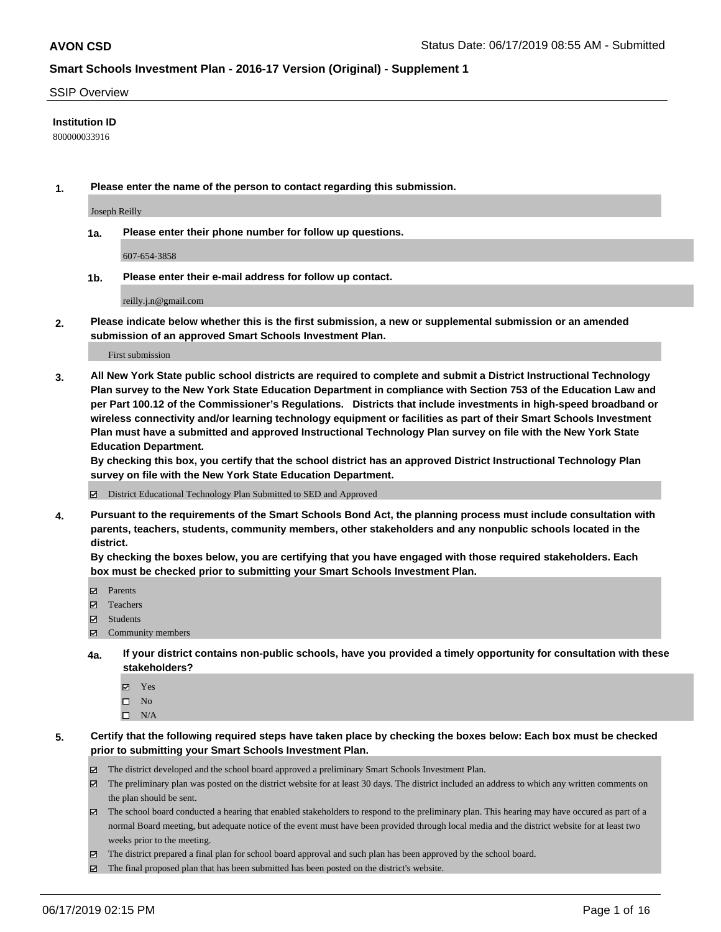#### SSIP Overview

#### **Institution ID**

800000033916

**1. Please enter the name of the person to contact regarding this submission.**

Joseph Reilly

**1a. Please enter their phone number for follow up questions.**

607-654-3858

**1b. Please enter their e-mail address for follow up contact.**

reilly.j.n@gmail.com

**2. Please indicate below whether this is the first submission, a new or supplemental submission or an amended submission of an approved Smart Schools Investment Plan.**

First submission

**3. All New York State public school districts are required to complete and submit a District Instructional Technology Plan survey to the New York State Education Department in compliance with Section 753 of the Education Law and per Part 100.12 of the Commissioner's Regulations. Districts that include investments in high-speed broadband or wireless connectivity and/or learning technology equipment or facilities as part of their Smart Schools Investment Plan must have a submitted and approved Instructional Technology Plan survey on file with the New York State Education Department.** 

**By checking this box, you certify that the school district has an approved District Instructional Technology Plan survey on file with the New York State Education Department.**

District Educational Technology Plan Submitted to SED and Approved

**4. Pursuant to the requirements of the Smart Schools Bond Act, the planning process must include consultation with parents, teachers, students, community members, other stakeholders and any nonpublic schools located in the district.** 

**By checking the boxes below, you are certifying that you have engaged with those required stakeholders. Each box must be checked prior to submitting your Smart Schools Investment Plan.**

- Parents
- Teachers
- Students
- Community members
- **4a. If your district contains non-public schools, have you provided a timely opportunity for consultation with these stakeholders?**
	- Yes
	- $\square$  No
	- $\square$  N/A
- **5. Certify that the following required steps have taken place by checking the boxes below: Each box must be checked prior to submitting your Smart Schools Investment Plan.**
	- The district developed and the school board approved a preliminary Smart Schools Investment Plan.
	- $\boxtimes$  The preliminary plan was posted on the district website for at least 30 days. The district included an address to which any written comments on the plan should be sent.
	- $\boxtimes$  The school board conducted a hearing that enabled stakeholders to respond to the preliminary plan. This hearing may have occured as part of a normal Board meeting, but adequate notice of the event must have been provided through local media and the district website for at least two weeks prior to the meeting.
	- The district prepared a final plan for school board approval and such plan has been approved by the school board.
	- $\boxtimes$  The final proposed plan that has been submitted has been posted on the district's website.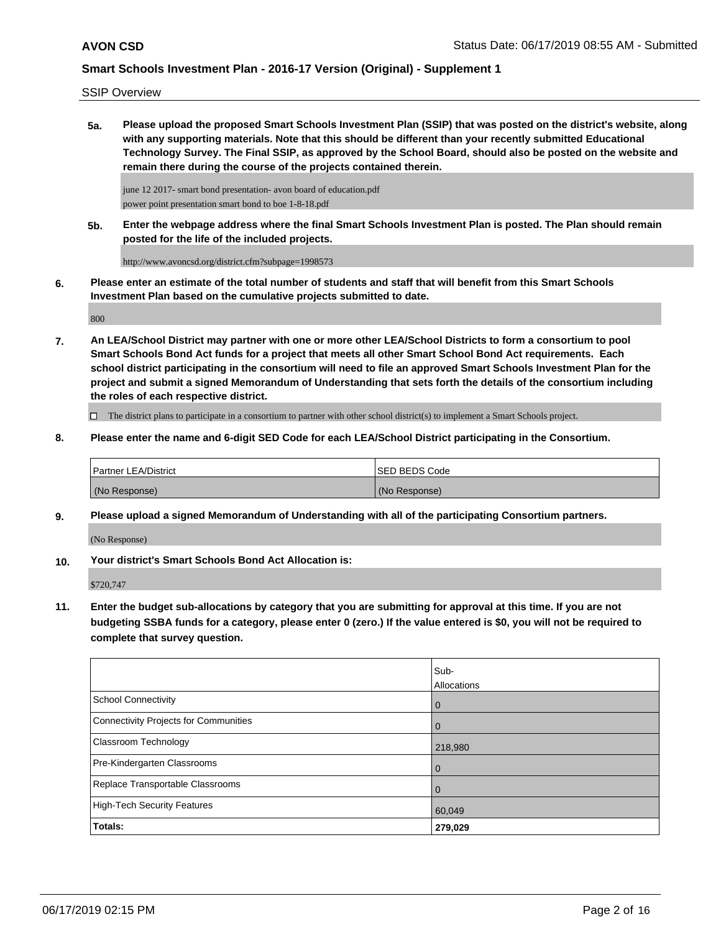SSIP Overview

**5a. Please upload the proposed Smart Schools Investment Plan (SSIP) that was posted on the district's website, along with any supporting materials. Note that this should be different than your recently submitted Educational Technology Survey. The Final SSIP, as approved by the School Board, should also be posted on the website and remain there during the course of the projects contained therein.**

june 12 2017- smart bond presentation- avon board of education.pdf power point presentation smart bond to boe 1-8-18.pdf

**5b. Enter the webpage address where the final Smart Schools Investment Plan is posted. The Plan should remain posted for the life of the included projects.**

http://www.avoncsd.org/district.cfm?subpage=1998573

**6. Please enter an estimate of the total number of students and staff that will benefit from this Smart Schools Investment Plan based on the cumulative projects submitted to date.**

800

**7. An LEA/School District may partner with one or more other LEA/School Districts to form a consortium to pool Smart Schools Bond Act funds for a project that meets all other Smart School Bond Act requirements. Each school district participating in the consortium will need to file an approved Smart Schools Investment Plan for the project and submit a signed Memorandum of Understanding that sets forth the details of the consortium including the roles of each respective district.**

 $\Box$  The district plans to participate in a consortium to partner with other school district(s) to implement a Smart Schools project.

**8. Please enter the name and 6-digit SED Code for each LEA/School District participating in the Consortium.**

| <b>Partner LEA/District</b> | ISED BEDS Code |
|-----------------------------|----------------|
| (No Response)               | (No Response)  |

**9. Please upload a signed Memorandum of Understanding with all of the participating Consortium partners.**

(No Response)

**10. Your district's Smart Schools Bond Act Allocation is:**

\$720,747

**11. Enter the budget sub-allocations by category that you are submitting for approval at this time. If you are not budgeting SSBA funds for a category, please enter 0 (zero.) If the value entered is \$0, you will not be required to complete that survey question.**

|                                       | Sub-<br><b>Allocations</b> |
|---------------------------------------|----------------------------|
| School Connectivity                   | l 0                        |
| Connectivity Projects for Communities | $\overline{0}$             |
| <b>Classroom Technology</b>           | 218,980                    |
| Pre-Kindergarten Classrooms           | $\overline{0}$             |
| Replace Transportable Classrooms      | $\overline{0}$             |
| High-Tech Security Features           | 60,049                     |
| <b>Totals:</b>                        | 279,029                    |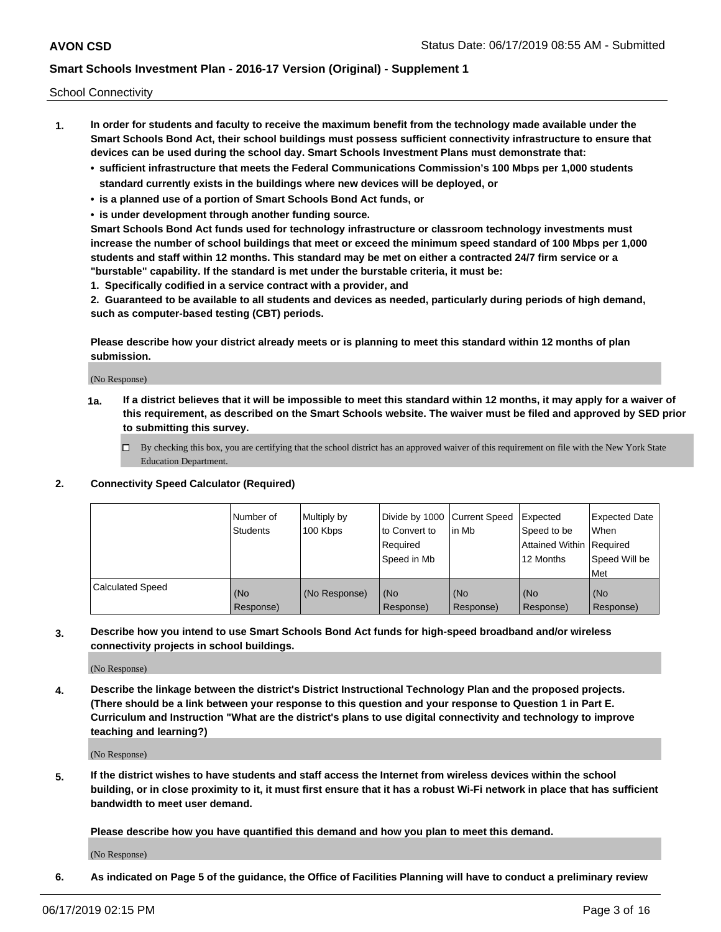School Connectivity

- **1. In order for students and faculty to receive the maximum benefit from the technology made available under the Smart Schools Bond Act, their school buildings must possess sufficient connectivity infrastructure to ensure that devices can be used during the school day. Smart Schools Investment Plans must demonstrate that:**
	- **• sufficient infrastructure that meets the Federal Communications Commission's 100 Mbps per 1,000 students standard currently exists in the buildings where new devices will be deployed, or**
	- **• is a planned use of a portion of Smart Schools Bond Act funds, or**
	- **• is under development through another funding source.**

**Smart Schools Bond Act funds used for technology infrastructure or classroom technology investments must increase the number of school buildings that meet or exceed the minimum speed standard of 100 Mbps per 1,000 students and staff within 12 months. This standard may be met on either a contracted 24/7 firm service or a "burstable" capability. If the standard is met under the burstable criteria, it must be:**

**1. Specifically codified in a service contract with a provider, and**

**2. Guaranteed to be available to all students and devices as needed, particularly during periods of high demand, such as computer-based testing (CBT) periods.**

**Please describe how your district already meets or is planning to meet this standard within 12 months of plan submission.**

(No Response)

**1a. If a district believes that it will be impossible to meet this standard within 12 months, it may apply for a waiver of this requirement, as described on the Smart Schools website. The waiver must be filed and approved by SED prior to submitting this survey.**

 $\Box$  By checking this box, you are certifying that the school district has an approved waiver of this requirement on file with the New York State Education Department.

**2. Connectivity Speed Calculator (Required)**

|                         | l Number of<br><b>Students</b> | Multiply by<br>100 Kbps | Divide by 1000 Current Speed<br>to Convert to<br>Required<br>Speed in Mb | l in Mb          | Expected<br>Speed to be<br>Attained Within   Required<br>12 Months | Expected Date<br><b>When</b><br>Speed Will be<br><b>Met</b> |
|-------------------------|--------------------------------|-------------------------|--------------------------------------------------------------------------|------------------|--------------------------------------------------------------------|-------------------------------------------------------------|
| <b>Calculated Speed</b> | (No<br>Response)               | (No Response)           | (No<br>Response)                                                         | (No<br>Response) | (No<br>Response)                                                   | (No<br>Response)                                            |

**3. Describe how you intend to use Smart Schools Bond Act funds for high-speed broadband and/or wireless connectivity projects in school buildings.**

(No Response)

**4. Describe the linkage between the district's District Instructional Technology Plan and the proposed projects. (There should be a link between your response to this question and your response to Question 1 in Part E. Curriculum and Instruction "What are the district's plans to use digital connectivity and technology to improve teaching and learning?)**

(No Response)

**5. If the district wishes to have students and staff access the Internet from wireless devices within the school building, or in close proximity to it, it must first ensure that it has a robust Wi-Fi network in place that has sufficient bandwidth to meet user demand.**

**Please describe how you have quantified this demand and how you plan to meet this demand.**

(No Response)

**6. As indicated on Page 5 of the guidance, the Office of Facilities Planning will have to conduct a preliminary review**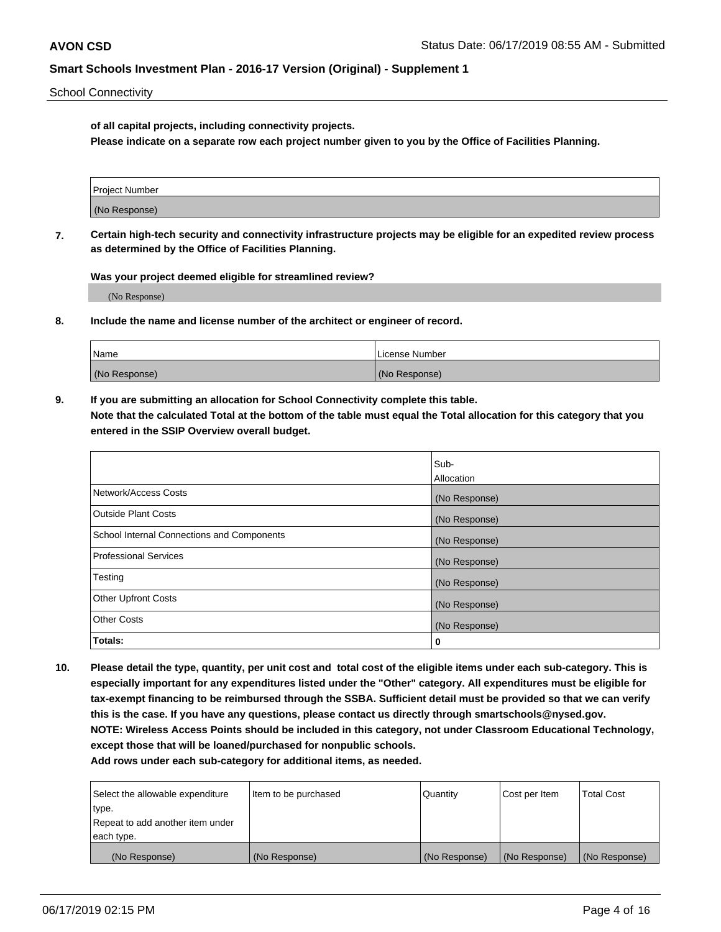School Connectivity

**of all capital projects, including connectivity projects.**

**Please indicate on a separate row each project number given to you by the Office of Facilities Planning.**

| Project Number |  |
|----------------|--|
|                |  |
|                |  |
|                |  |
| (No Response)  |  |
|                |  |
|                |  |
|                |  |

**7. Certain high-tech security and connectivity infrastructure projects may be eligible for an expedited review process as determined by the Office of Facilities Planning.**

**Was your project deemed eligible for streamlined review?**

(No Response)

**8. Include the name and license number of the architect or engineer of record.**

| Name          | License Number |
|---------------|----------------|
| (No Response) | (No Response)  |

**9. If you are submitting an allocation for School Connectivity complete this table. Note that the calculated Total at the bottom of the table must equal the Total allocation for this category that you entered in the SSIP Overview overall budget.** 

|                                            | Sub-              |
|--------------------------------------------|-------------------|
|                                            | <b>Allocation</b> |
| Network/Access Costs                       | (No Response)     |
| <b>Outside Plant Costs</b>                 | (No Response)     |
| School Internal Connections and Components | (No Response)     |
| <b>Professional Services</b>               | (No Response)     |
| Testing                                    | (No Response)     |
| <b>Other Upfront Costs</b>                 | (No Response)     |
| <b>Other Costs</b>                         | (No Response)     |
| Totals:                                    | 0                 |

**10. Please detail the type, quantity, per unit cost and total cost of the eligible items under each sub-category. This is especially important for any expenditures listed under the "Other" category. All expenditures must be eligible for tax-exempt financing to be reimbursed through the SSBA. Sufficient detail must be provided so that we can verify this is the case. If you have any questions, please contact us directly through smartschools@nysed.gov. NOTE: Wireless Access Points should be included in this category, not under Classroom Educational Technology, except those that will be loaned/purchased for nonpublic schools.**

| Select the allowable expenditure | Item to be purchased | Quantity      | <b>Cost per Item</b> | <b>Total Cost</b> |
|----------------------------------|----------------------|---------------|----------------------|-------------------|
| type.                            |                      |               |                      |                   |
| Repeat to add another item under |                      |               |                      |                   |
| each type.                       |                      |               |                      |                   |
| (No Response)                    | (No Response)        | (No Response) | (No Response)        | (No Response)     |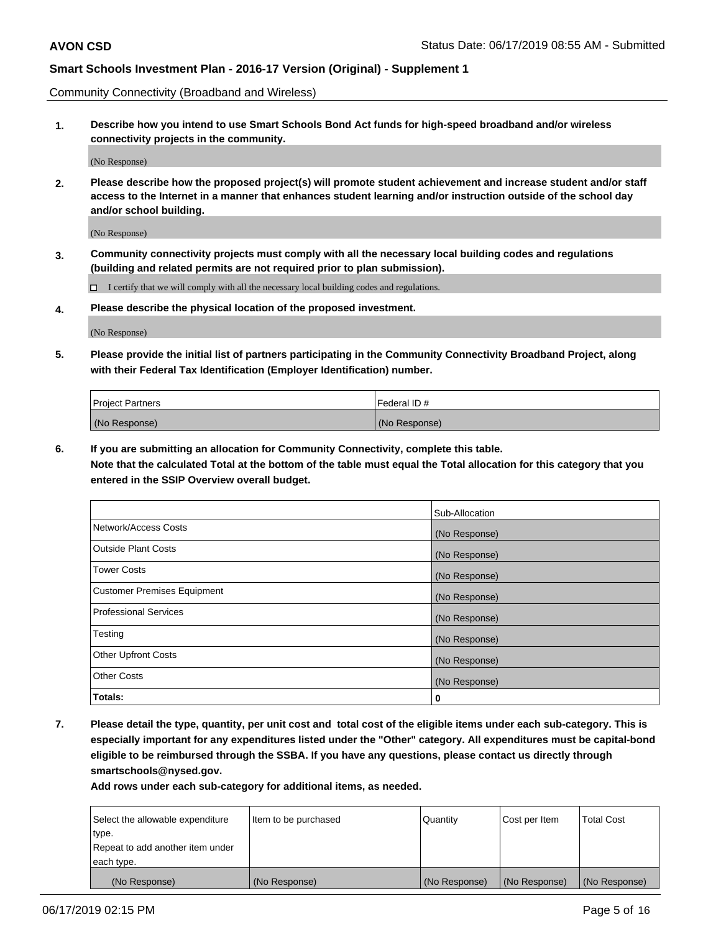Community Connectivity (Broadband and Wireless)

**1. Describe how you intend to use Smart Schools Bond Act funds for high-speed broadband and/or wireless connectivity projects in the community.**

(No Response)

**2. Please describe how the proposed project(s) will promote student achievement and increase student and/or staff access to the Internet in a manner that enhances student learning and/or instruction outside of the school day and/or school building.**

(No Response)

**3. Community connectivity projects must comply with all the necessary local building codes and regulations (building and related permits are not required prior to plan submission).**

 $\Box$  I certify that we will comply with all the necessary local building codes and regulations.

**4. Please describe the physical location of the proposed investment.**

(No Response)

**5. Please provide the initial list of partners participating in the Community Connectivity Broadband Project, along with their Federal Tax Identification (Employer Identification) number.**

| <b>Project Partners</b> | <sup>I</sup> Federal ID # |
|-------------------------|---------------------------|
| (No Response)           | (No Response)             |

**6. If you are submitting an allocation for Community Connectivity, complete this table.**

**Note that the calculated Total at the bottom of the table must equal the Total allocation for this category that you entered in the SSIP Overview overall budget.**

|                              | Sub-Allocation |
|------------------------------|----------------|
| Network/Access Costs         | (No Response)  |
| Outside Plant Costs          | (No Response)  |
| <b>Tower Costs</b>           | (No Response)  |
| Customer Premises Equipment  | (No Response)  |
| <b>Professional Services</b> | (No Response)  |
| Testing                      | (No Response)  |
| <b>Other Upfront Costs</b>   | (No Response)  |
| <b>Other Costs</b>           | (No Response)  |
| Totals:                      | 0              |

**7. Please detail the type, quantity, per unit cost and total cost of the eligible items under each sub-category. This is especially important for any expenditures listed under the "Other" category. All expenditures must be capital-bond eligible to be reimbursed through the SSBA. If you have any questions, please contact us directly through smartschools@nysed.gov.**

| Select the allowable expenditure | Item to be purchased | Quantity      | Cost per Item | <b>Total Cost</b> |
|----------------------------------|----------------------|---------------|---------------|-------------------|
| type.                            |                      |               |               |                   |
| Repeat to add another item under |                      |               |               |                   |
| each type.                       |                      |               |               |                   |
| (No Response)                    | (No Response)        | (No Response) | (No Response) | (No Response)     |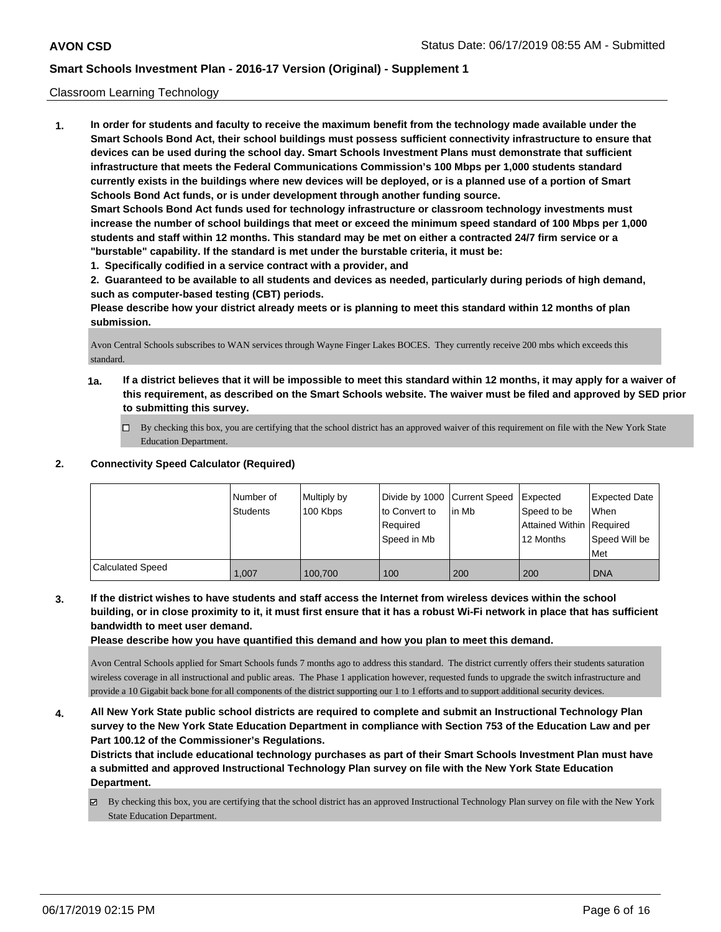#### Classroom Learning Technology

**1. In order for students and faculty to receive the maximum benefit from the technology made available under the Smart Schools Bond Act, their school buildings must possess sufficient connectivity infrastructure to ensure that devices can be used during the school day. Smart Schools Investment Plans must demonstrate that sufficient infrastructure that meets the Federal Communications Commission's 100 Mbps per 1,000 students standard currently exists in the buildings where new devices will be deployed, or is a planned use of a portion of Smart Schools Bond Act funds, or is under development through another funding source. Smart Schools Bond Act funds used for technology infrastructure or classroom technology investments must increase the number of school buildings that meet or exceed the minimum speed standard of 100 Mbps per 1,000 students and staff within 12 months. This standard may be met on either a contracted 24/7 firm service or a "burstable" capability. If the standard is met under the burstable criteria, it must be:**

**1. Specifically codified in a service contract with a provider, and**

**2. Guaranteed to be available to all students and devices as needed, particularly during periods of high demand, such as computer-based testing (CBT) periods.**

**Please describe how your district already meets or is planning to meet this standard within 12 months of plan submission.**

Avon Central Schools subscribes to WAN services through Wayne Finger Lakes BOCES. They currently receive 200 mbs which exceeds this standard.

- **1a. If a district believes that it will be impossible to meet this standard within 12 months, it may apply for a waiver of this requirement, as described on the Smart Schools website. The waiver must be filed and approved by SED prior to submitting this survey.**
	- By checking this box, you are certifying that the school district has an approved waiver of this requirement on file with the New York State Education Department.

### **2. Connectivity Speed Calculator (Required)**

|                         | Number of<br><b>Students</b> | Multiply by<br>100 Kbps | Divide by 1000 Current Speed<br>to Convert to<br>Required | lin Mb | Expected<br>Speed to be<br>Attained Within Required | <b>Expected Date</b><br>When |
|-------------------------|------------------------------|-------------------------|-----------------------------------------------------------|--------|-----------------------------------------------------|------------------------------|
|                         |                              |                         | Speed in Mb                                               |        | 12 Months                                           | Speed Will be<br>Met         |
| <b>Calculated Speed</b> | 1.007                        | 100.700                 | 100                                                       | 200    | 200                                                 | l DNA                        |

**3. If the district wishes to have students and staff access the Internet from wireless devices within the school building, or in close proximity to it, it must first ensure that it has a robust Wi-Fi network in place that has sufficient bandwidth to meet user demand.**

**Please describe how you have quantified this demand and how you plan to meet this demand.**

Avon Central Schools applied for Smart Schools funds 7 months ago to address this standard. The district currently offers their students saturation wireless coverage in all instructional and public areas. The Phase 1 application however, requested funds to upgrade the switch infrastructure and provide a 10 Gigabit back bone for all components of the district supporting our 1 to 1 efforts and to support additional security devices.

**4. All New York State public school districts are required to complete and submit an Instructional Technology Plan survey to the New York State Education Department in compliance with Section 753 of the Education Law and per Part 100.12 of the Commissioner's Regulations.**

**Districts that include educational technology purchases as part of their Smart Schools Investment Plan must have a submitted and approved Instructional Technology Plan survey on file with the New York State Education Department.**

By checking this box, you are certifying that the school district has an approved Instructional Technology Plan survey on file with the New York State Education Department.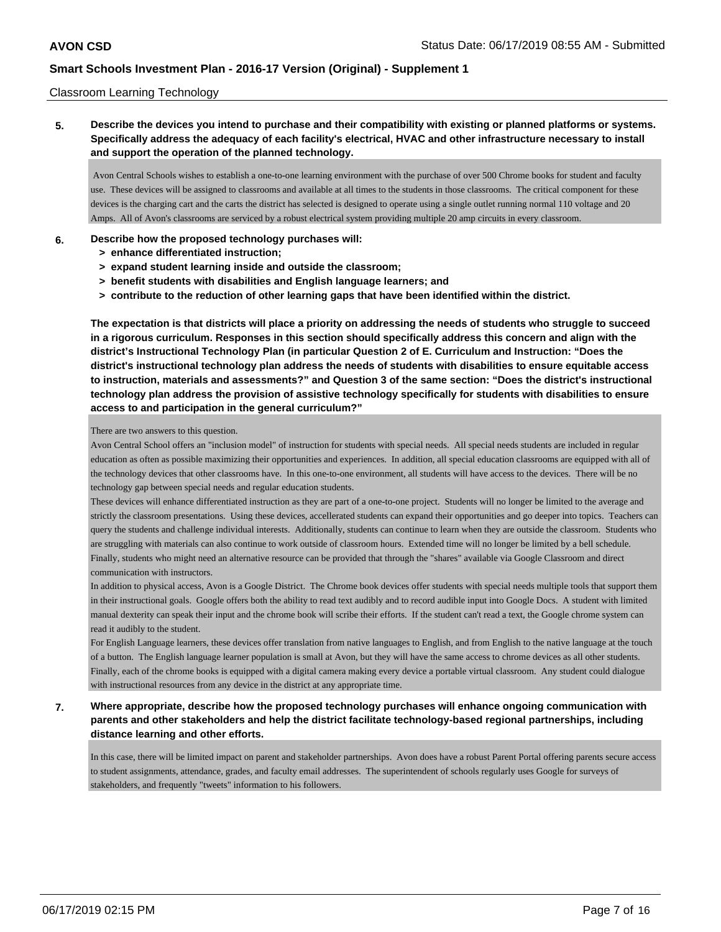#### Classroom Learning Technology

### **5. Describe the devices you intend to purchase and their compatibility with existing or planned platforms or systems. Specifically address the adequacy of each facility's electrical, HVAC and other infrastructure necessary to install and support the operation of the planned technology.**

 Avon Central Schools wishes to establish a one-to-one learning environment with the purchase of over 500 Chrome books for student and faculty use. These devices will be assigned to classrooms and available at all times to the students in those classrooms. The critical component for these devices is the charging cart and the carts the district has selected is designed to operate using a single outlet running normal 110 voltage and 20 Amps. All of Avon's classrooms are serviced by a robust electrical system providing multiple 20 amp circuits in every classroom.

### **6. Describe how the proposed technology purchases will:**

- **> enhance differentiated instruction;**
- **> expand student learning inside and outside the classroom;**
- **> benefit students with disabilities and English language learners; and**
- **> contribute to the reduction of other learning gaps that have been identified within the district.**

**The expectation is that districts will place a priority on addressing the needs of students who struggle to succeed in a rigorous curriculum. Responses in this section should specifically address this concern and align with the district's Instructional Technology Plan (in particular Question 2 of E. Curriculum and Instruction: "Does the district's instructional technology plan address the needs of students with disabilities to ensure equitable access to instruction, materials and assessments?" and Question 3 of the same section: "Does the district's instructional technology plan address the provision of assistive technology specifically for students with disabilities to ensure access to and participation in the general curriculum?"**

#### There are two answers to this question.

Avon Central School offers an "inclusion model" of instruction for students with special needs. All special needs students are included in regular education as often as possible maximizing their opportunities and experiences. In addition, all special education classrooms are equipped with all of the technology devices that other classrooms have. In this one-to-one environment, all students will have access to the devices. There will be no technology gap between special needs and regular education students.

These devices will enhance differentiated instruction as they are part of a one-to-one project. Students will no longer be limited to the average and strictly the classroom presentations. Using these devices, accellerated students can expand their opportunities and go deeper into topics. Teachers can query the students and challenge individual interests. Additionally, students can continue to learn when they are outside the classroom. Students who are struggling with materials can also continue to work outside of classroom hours. Extended time will no longer be limited by a bell schedule. Finally, students who might need an alternative resource can be provided that through the "shares" available via Google Classroom and direct communication with instructors.

In addition to physical access, Avon is a Google District. The Chrome book devices offer students with special needs multiple tools that support them in their instructional goals. Google offers both the ability to read text audibly and to record audible input into Google Docs. A student with limited manual dexterity can speak their input and the chrome book will scribe their efforts. If the student can't read a text, the Google chrome system can read it audibly to the student.

For English Language learners, these devices offer translation from native languages to English, and from English to the native language at the touch of a button. The English language learner population is small at Avon, but they will have the same access to chrome devices as all other students. Finally, each of the chrome books is equipped with a digital camera making every device a portable virtual classroom. Any student could dialogue with instructional resources from any device in the district at any appropriate time.

### **7. Where appropriate, describe how the proposed technology purchases will enhance ongoing communication with parents and other stakeholders and help the district facilitate technology-based regional partnerships, including distance learning and other efforts.**

In this case, there will be limited impact on parent and stakeholder partnerships. Avon does have a robust Parent Portal offering parents secure access to student assignments, attendance, grades, and faculty email addresses. The superintendent of schools regularly uses Google for surveys of stakeholders, and frequently "tweets" information to his followers.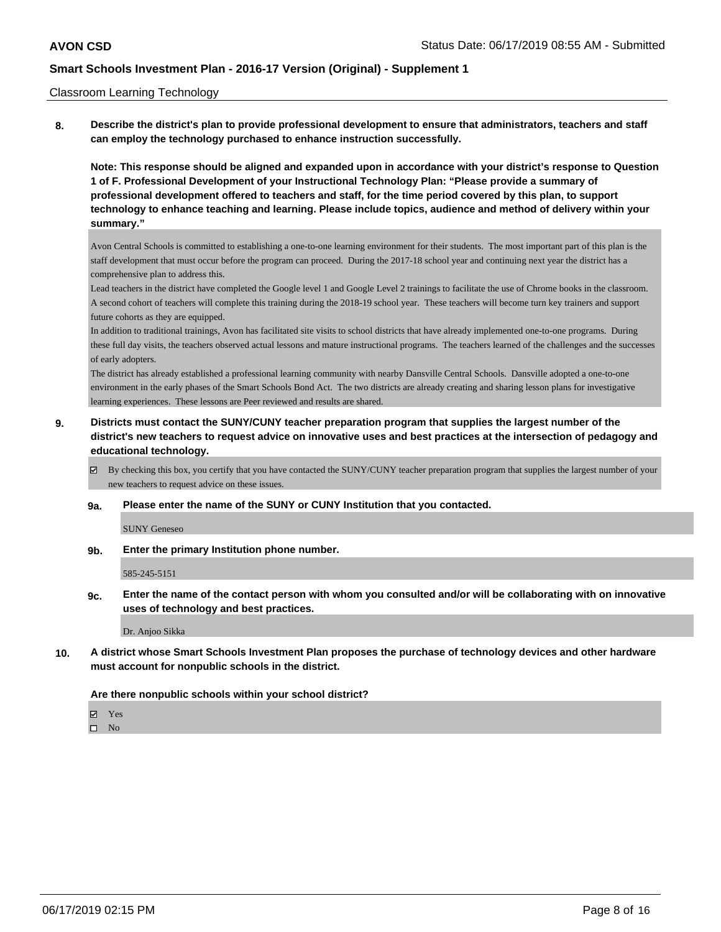#### Classroom Learning Technology

**8. Describe the district's plan to provide professional development to ensure that administrators, teachers and staff can employ the technology purchased to enhance instruction successfully.**

**Note: This response should be aligned and expanded upon in accordance with your district's response to Question 1 of F. Professional Development of your Instructional Technology Plan: "Please provide a summary of professional development offered to teachers and staff, for the time period covered by this plan, to support technology to enhance teaching and learning. Please include topics, audience and method of delivery within your summary."**

Avon Central Schools is committed to establishing a one-to-one learning environment for their students. The most important part of this plan is the staff development that must occur before the program can proceed. During the 2017-18 school year and continuing next year the district has a comprehensive plan to address this.

Lead teachers in the district have completed the Google level 1 and Google Level 2 trainings to facilitate the use of Chrome books in the classroom. A second cohort of teachers will complete this training during the 2018-19 school year. These teachers will become turn key trainers and support future cohorts as they are equipped.

In addition to traditional trainings, Avon has facilitated site visits to school districts that have already implemented one-to-one programs. During these full day visits, the teachers observed actual lessons and mature instructional programs. The teachers learned of the challenges and the successes of early adopters.

The district has already established a professional learning community with nearby Dansville Central Schools. Dansville adopted a one-to-one environment in the early phases of the Smart Schools Bond Act. The two districts are already creating and sharing lesson plans for investigative learning experiences. These lessons are Peer reviewed and results are shared.

- **9. Districts must contact the SUNY/CUNY teacher preparation program that supplies the largest number of the district's new teachers to request advice on innovative uses and best practices at the intersection of pedagogy and educational technology.**
	- By checking this box, you certify that you have contacted the SUNY/CUNY teacher preparation program that supplies the largest number of your new teachers to request advice on these issues.
	- **9a. Please enter the name of the SUNY or CUNY Institution that you contacted.**

SUNY Geneseo

**9b. Enter the primary Institution phone number.**

585-245-5151

**9c. Enter the name of the contact person with whom you consulted and/or will be collaborating with on innovative uses of technology and best practices.**

Dr. Anjoo Sikka

**10. A district whose Smart Schools Investment Plan proposes the purchase of technology devices and other hardware must account for nonpublic schools in the district.**

#### **Are there nonpublic schools within your school district?**

Yes

 $\square$  No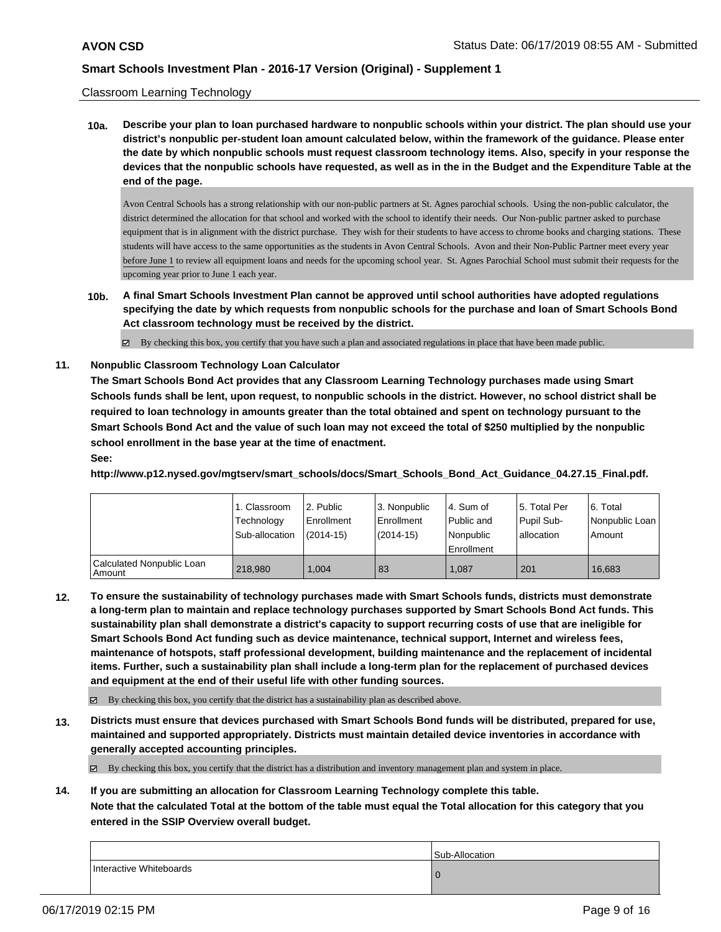### Classroom Learning Technology

**10a. Describe your plan to loan purchased hardware to nonpublic schools within your district. The plan should use your district's nonpublic per-student loan amount calculated below, within the framework of the guidance. Please enter the date by which nonpublic schools must request classroom technology items. Also, specify in your response the devices that the nonpublic schools have requested, as well as in the in the Budget and the Expenditure Table at the end of the page.**

Avon Central Schools has a strong relationship with our non-public partners at St. Agnes parochial schools. Using the non-public calculator, the district determined the allocation for that school and worked with the school to identify their needs. Our Non-public partner asked to purchase equipment that is in alignment with the district purchase. They wish for their students to have access to chrome books and charging stations. These students will have access to the same opportunities as the students in Avon Central Schools. Avon and their Non-Public Partner meet every year before June 1 to review all equipment loans and needs for the upcoming school year. St. Agnes Parochial School must submit their requests for the upcoming year prior to June 1 each year.

**10b. A final Smart Schools Investment Plan cannot be approved until school authorities have adopted regulations specifying the date by which requests from nonpublic schools for the purchase and loan of Smart Schools Bond Act classroom technology must be received by the district.**

 $\boxtimes$  By checking this box, you certify that you have such a plan and associated regulations in place that have been made public.

### **11. Nonpublic Classroom Technology Loan Calculator**

**The Smart Schools Bond Act provides that any Classroom Learning Technology purchases made using Smart Schools funds shall be lent, upon request, to nonpublic schools in the district. However, no school district shall be required to loan technology in amounts greater than the total obtained and spent on technology pursuant to the Smart Schools Bond Act and the value of such loan may not exceed the total of \$250 multiplied by the nonpublic school enrollment in the base year at the time of enactment. See:**

**http://www.p12.nysed.gov/mgtserv/smart\_schools/docs/Smart\_Schools\_Bond\_Act\_Guidance\_04.27.15\_Final.pdf.**

|                                       | 1. Classroom<br>Technology<br>Sub-allocation | l 2. Public<br>l Enrollment<br>$(2014 - 15)$ | 3. Nonpublic<br>Enrollment<br>$(2014-15)$ | l 4. Sum of<br>Public and<br>l Nonpublic<br>Enrollment | 15. Total Per<br>Pupil Sub-<br>lallocation | 16. Total<br>Nonpublic Loan<br>Amount |
|---------------------------------------|----------------------------------------------|----------------------------------------------|-------------------------------------------|--------------------------------------------------------|--------------------------------------------|---------------------------------------|
| Calculated Nonpublic Loan<br>l Amount | 218,980                                      | 1.004                                        | 83                                        | 1.087                                                  | 201                                        | 16.683                                |

**12. To ensure the sustainability of technology purchases made with Smart Schools funds, districts must demonstrate a long-term plan to maintain and replace technology purchases supported by Smart Schools Bond Act funds. This sustainability plan shall demonstrate a district's capacity to support recurring costs of use that are ineligible for Smart Schools Bond Act funding such as device maintenance, technical support, Internet and wireless fees, maintenance of hotspots, staff professional development, building maintenance and the replacement of incidental items. Further, such a sustainability plan shall include a long-term plan for the replacement of purchased devices and equipment at the end of their useful life with other funding sources.**

By checking this box, you certify that the district has a sustainability plan as described above.

**13. Districts must ensure that devices purchased with Smart Schools Bond funds will be distributed, prepared for use, maintained and supported appropriately. Districts must maintain detailed device inventories in accordance with generally accepted accounting principles.**

By checking this box, you certify that the district has a distribution and inventory management plan and system in place.

**14. If you are submitting an allocation for Classroom Learning Technology complete this table. Note that the calculated Total at the bottom of the table must equal the Total allocation for this category that you entered in the SSIP Overview overall budget.**

|                         | Sub-Allocation |
|-------------------------|----------------|
| Interactive Whiteboards | 10             |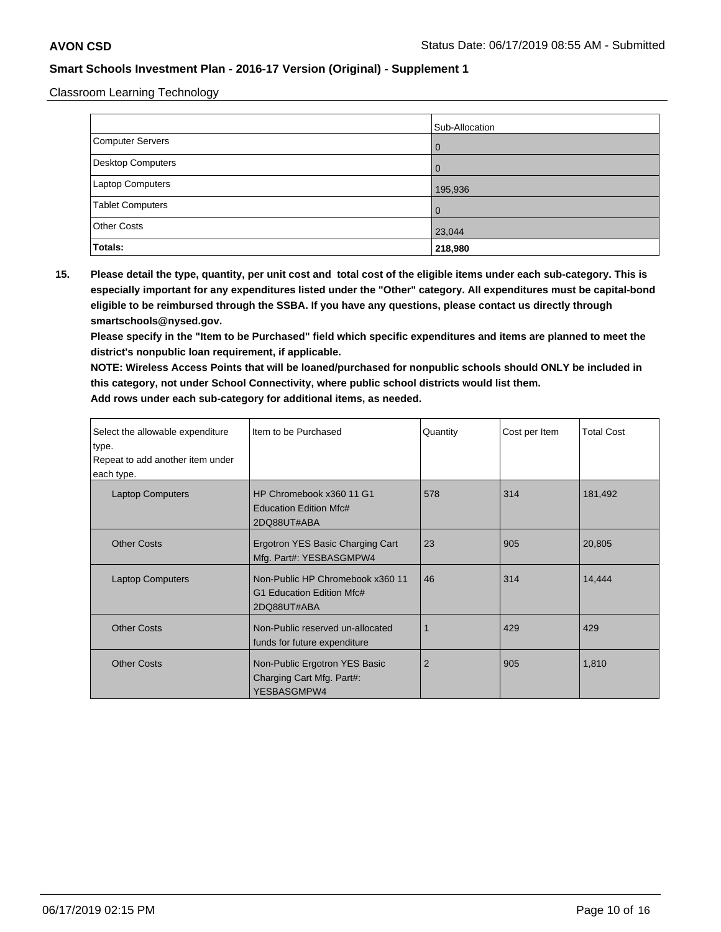Classroom Learning Technology

|                         | Sub-Allocation |
|-------------------------|----------------|
| Computer Servers        | l 0            |
| Desktop Computers       | l 0            |
| Laptop Computers        | 195,936        |
| <b>Tablet Computers</b> | l O            |
| <b>Other Costs</b>      | 23,044         |
| Totals:                 | 218,980        |

**15. Please detail the type, quantity, per unit cost and total cost of the eligible items under each sub-category. This is especially important for any expenditures listed under the "Other" category. All expenditures must be capital-bond eligible to be reimbursed through the SSBA. If you have any questions, please contact us directly through smartschools@nysed.gov.**

**Please specify in the "Item to be Purchased" field which specific expenditures and items are planned to meet the district's nonpublic loan requirement, if applicable.**

**NOTE: Wireless Access Points that will be loaned/purchased for nonpublic schools should ONLY be included in this category, not under School Connectivity, where public school districts would list them. Add rows under each sub-category for additional items, as needed.**

| Select the allowable expenditure<br>type. | Item to be Purchased                                                         | Quantity       | Cost per Item | Total Cost |
|-------------------------------------------|------------------------------------------------------------------------------|----------------|---------------|------------|
| Repeat to add another item under          |                                                                              |                |               |            |
| each type.                                |                                                                              |                |               |            |
| <b>Laptop Computers</b>                   | HP Chromebook x360 11 G1<br>Education Edition Mfc#<br>2DQ88UT#ABA            | 578            | 314           | 181,492    |
| <b>Other Costs</b>                        | Ergotron YES Basic Charging Cart<br>Mfg. Part#: YESBASGMPW4                  | 23             | 905           | 20,805     |
| <b>Laptop Computers</b>                   | Non-Public HP Chromebook x360 11<br>G1 Education Edition Mfc#<br>2DQ88UT#ABA | 46             | 314           | 14,444     |
| <b>Other Costs</b>                        | Non-Public reserved un-allocated<br>funds for future expenditure             |                | 429           | 429        |
| <b>Other Costs</b>                        | Non-Public Ergotron YES Basic<br>Charging Cart Mfg. Part#:<br>YESBASGMPW4    | $\overline{2}$ | 905           | 1,810      |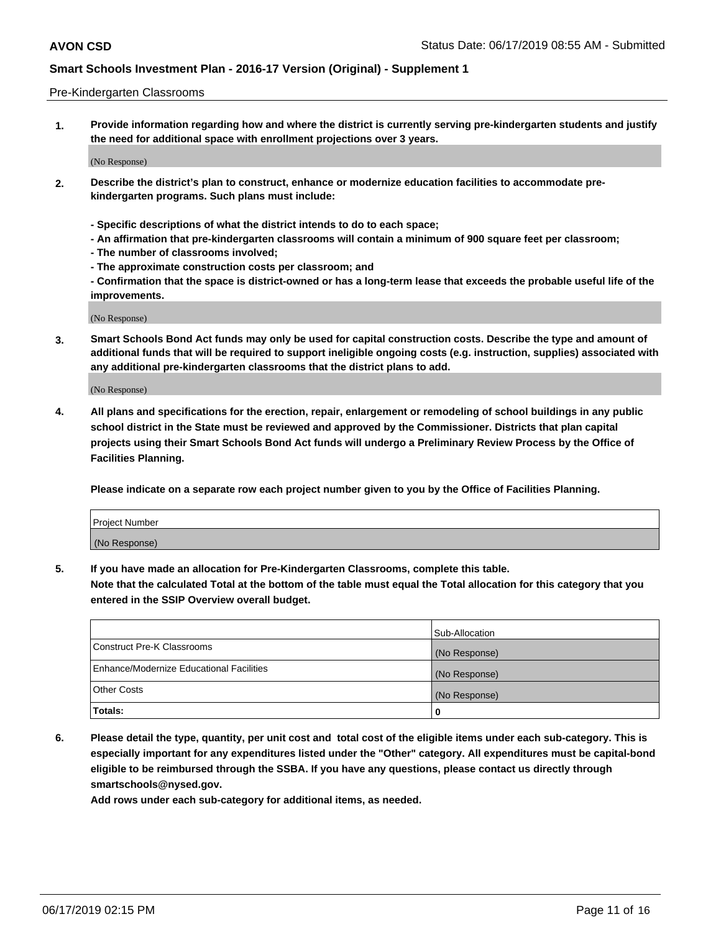#### Pre-Kindergarten Classrooms

**1. Provide information regarding how and where the district is currently serving pre-kindergarten students and justify the need for additional space with enrollment projections over 3 years.**

(No Response)

- **2. Describe the district's plan to construct, enhance or modernize education facilities to accommodate prekindergarten programs. Such plans must include:**
	- **Specific descriptions of what the district intends to do to each space;**
	- **An affirmation that pre-kindergarten classrooms will contain a minimum of 900 square feet per classroom;**
	- **The number of classrooms involved;**
	- **The approximate construction costs per classroom; and**
	- **Confirmation that the space is district-owned or has a long-term lease that exceeds the probable useful life of the improvements.**

(No Response)

**3. Smart Schools Bond Act funds may only be used for capital construction costs. Describe the type and amount of additional funds that will be required to support ineligible ongoing costs (e.g. instruction, supplies) associated with any additional pre-kindergarten classrooms that the district plans to add.**

(No Response)

**4. All plans and specifications for the erection, repair, enlargement or remodeling of school buildings in any public school district in the State must be reviewed and approved by the Commissioner. Districts that plan capital projects using their Smart Schools Bond Act funds will undergo a Preliminary Review Process by the Office of Facilities Planning.**

**Please indicate on a separate row each project number given to you by the Office of Facilities Planning.**

| Project Number |  |
|----------------|--|
| (No Response)  |  |
|                |  |

**5. If you have made an allocation for Pre-Kindergarten Classrooms, complete this table.**

**Note that the calculated Total at the bottom of the table must equal the Total allocation for this category that you entered in the SSIP Overview overall budget.**

|                                          | Sub-Allocation |
|------------------------------------------|----------------|
| Construct Pre-K Classrooms               | (No Response)  |
| Enhance/Modernize Educational Facilities | (No Response)  |
| <b>Other Costs</b>                       | (No Response)  |
| Totals:                                  | 0              |

**6. Please detail the type, quantity, per unit cost and total cost of the eligible items under each sub-category. This is especially important for any expenditures listed under the "Other" category. All expenditures must be capital-bond eligible to be reimbursed through the SSBA. If you have any questions, please contact us directly through smartschools@nysed.gov.**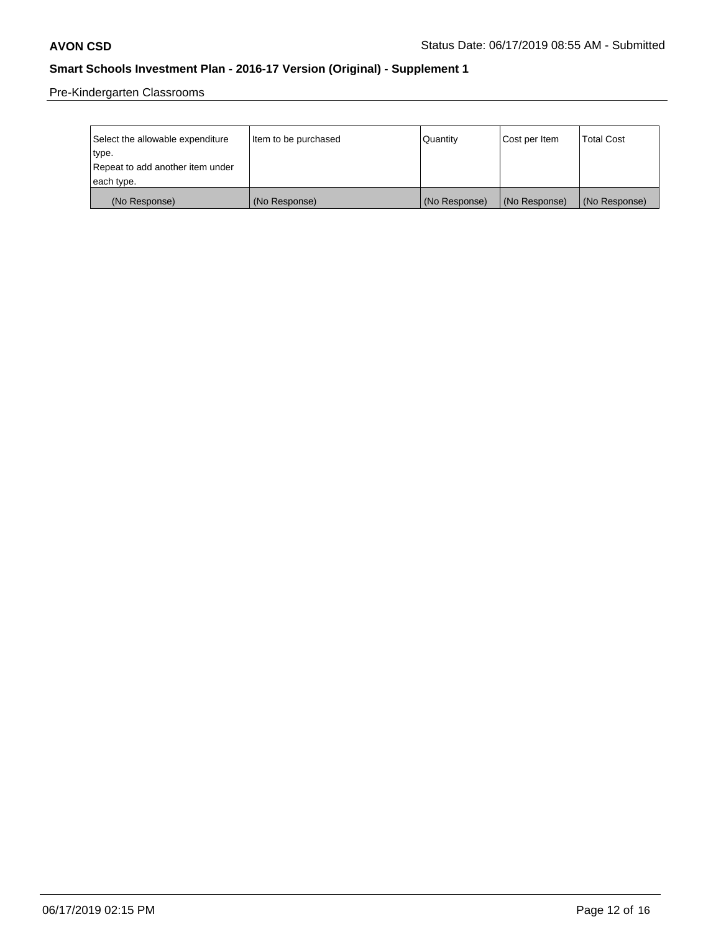Pre-Kindergarten Classrooms

| Select the allowable expenditure | Item to be purchased | Quantity      | Cost per Item | <b>Total Cost</b> |
|----------------------------------|----------------------|---------------|---------------|-------------------|
| type.                            |                      |               |               |                   |
| Repeat to add another item under |                      |               |               |                   |
| each type.                       |                      |               |               |                   |
| (No Response)                    | (No Response)        | (No Response) | (No Response) | (No Response)     |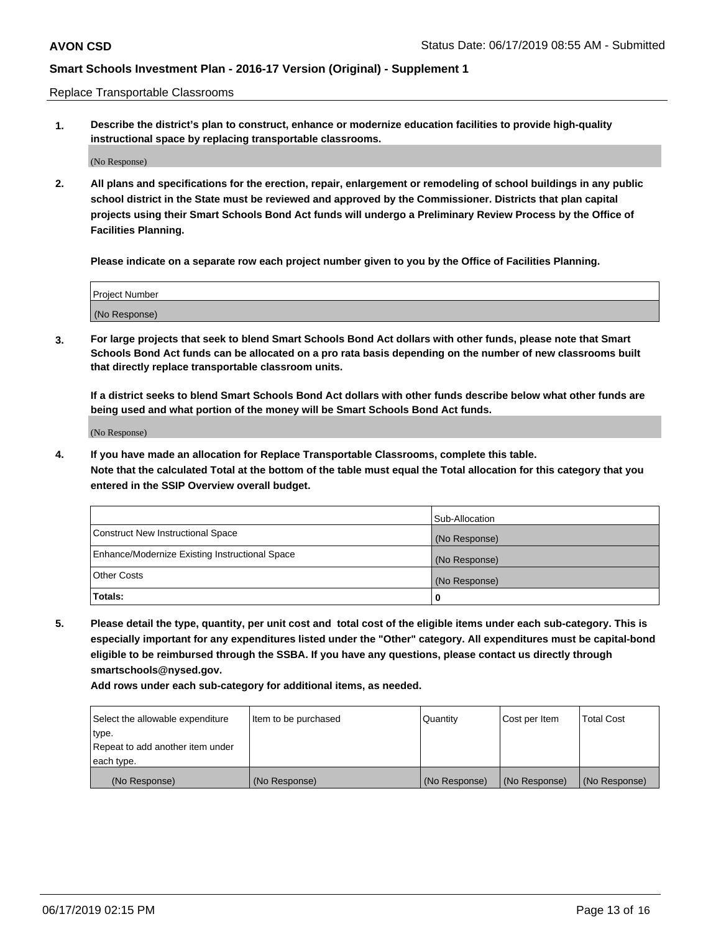Replace Transportable Classrooms

**1. Describe the district's plan to construct, enhance or modernize education facilities to provide high-quality instructional space by replacing transportable classrooms.**

(No Response)

**2. All plans and specifications for the erection, repair, enlargement or remodeling of school buildings in any public school district in the State must be reviewed and approved by the Commissioner. Districts that plan capital projects using their Smart Schools Bond Act funds will undergo a Preliminary Review Process by the Office of Facilities Planning.**

**Please indicate on a separate row each project number given to you by the Office of Facilities Planning.**

| Project Number |  |
|----------------|--|
|                |  |
|                |  |
|                |  |
|                |  |
| (No Response)  |  |
|                |  |
|                |  |
|                |  |

**3. For large projects that seek to blend Smart Schools Bond Act dollars with other funds, please note that Smart Schools Bond Act funds can be allocated on a pro rata basis depending on the number of new classrooms built that directly replace transportable classroom units.**

**If a district seeks to blend Smart Schools Bond Act dollars with other funds describe below what other funds are being used and what portion of the money will be Smart Schools Bond Act funds.**

(No Response)

**4. If you have made an allocation for Replace Transportable Classrooms, complete this table. Note that the calculated Total at the bottom of the table must equal the Total allocation for this category that you entered in the SSIP Overview overall budget.**

|                                                | Sub-Allocation |
|------------------------------------------------|----------------|
| Construct New Instructional Space              | (No Response)  |
| Enhance/Modernize Existing Instructional Space | (No Response)  |
| <b>Other Costs</b>                             | (No Response)  |
| Totals:                                        | 0              |

**5. Please detail the type, quantity, per unit cost and total cost of the eligible items under each sub-category. This is especially important for any expenditures listed under the "Other" category. All expenditures must be capital-bond eligible to be reimbursed through the SSBA. If you have any questions, please contact us directly through smartschools@nysed.gov.**

| Select the allowable expenditure | Item to be purchased | l Quantitv    | Cost per Item | <b>Total Cost</b> |
|----------------------------------|----------------------|---------------|---------------|-------------------|
| type.                            |                      |               |               |                   |
| Repeat to add another item under |                      |               |               |                   |
| each type.                       |                      |               |               |                   |
| (No Response)                    | (No Response)        | (No Response) | (No Response) | (No Response)     |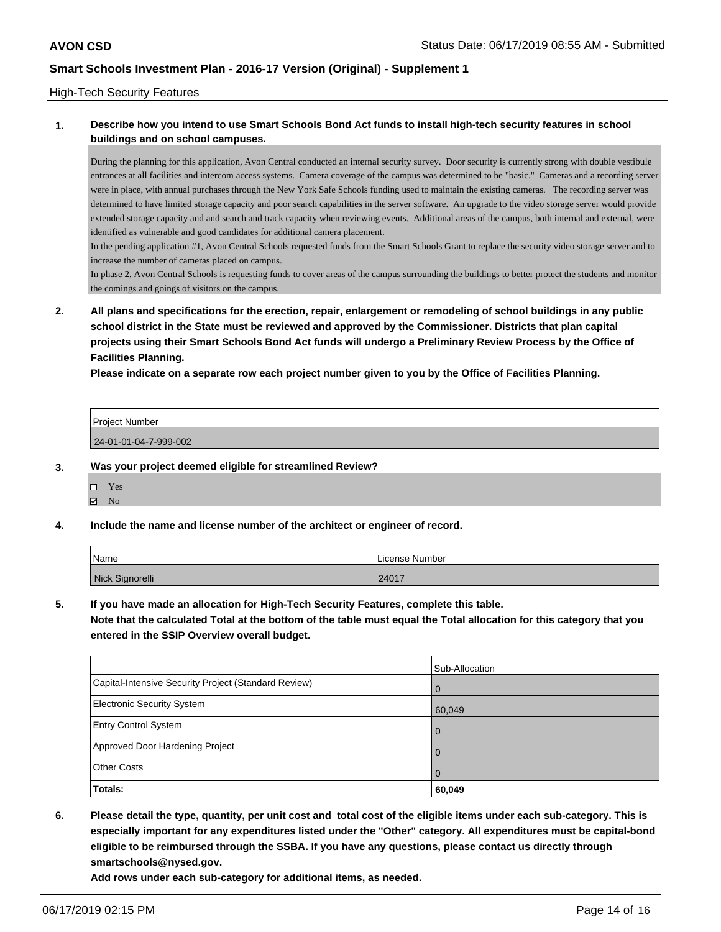### High-Tech Security Features

### **1. Describe how you intend to use Smart Schools Bond Act funds to install high-tech security features in school buildings and on school campuses.**

During the planning for this application, Avon Central conducted an internal security survey. Door security is currently strong with double vestibule entrances at all facilities and intercom access systems. Camera coverage of the campus was determined to be "basic." Cameras and a recording server were in place, with annual purchases through the New York Safe Schools funding used to maintain the existing cameras. The recording server was determined to have limited storage capacity and poor search capabilities in the server software. An upgrade to the video storage server would provide extended storage capacity and and search and track capacity when reviewing events. Additional areas of the campus, both internal and external, were identified as vulnerable and good candidates for additional camera placement.

In the pending application #1, Avon Central Schools requested funds from the Smart Schools Grant to replace the security video storage server and to increase the number of cameras placed on campus.

In phase 2, Avon Central Schools is requesting funds to cover areas of the campus surrounding the buildings to better protect the students and monitor the comings and goings of visitors on the campus.

**2. All plans and specifications for the erection, repair, enlargement or remodeling of school buildings in any public school district in the State must be reviewed and approved by the Commissioner. Districts that plan capital projects using their Smart Schools Bond Act funds will undergo a Preliminary Review Process by the Office of Facilities Planning.** 

**Please indicate on a separate row each project number given to you by the Office of Facilities Planning.**

| <b>Project Number</b> |  |
|-----------------------|--|
| 24-01-01-04-7-999-002 |  |

- **3. Was your project deemed eligible for streamlined Review?**
	- Yes
	- $\boxtimes$  No
- **4. Include the name and license number of the architect or engineer of record.**

| Name            | License Number |  |
|-----------------|----------------|--|
| Nick Signorelli | 24017          |  |

**5. If you have made an allocation for High-Tech Security Features, complete this table.**

**Note that the calculated Total at the bottom of the table must equal the Total allocation for this category that you entered in the SSIP Overview overall budget.**

|                                                      | Sub-Allocation |
|------------------------------------------------------|----------------|
| Capital-Intensive Security Project (Standard Review) | l 0            |
| <b>Electronic Security System</b>                    | 60,049         |
| <b>Entry Control System</b>                          | l 0            |
| Approved Door Hardening Project                      | l O            |
| <b>Other Costs</b>                                   | l O            |
| Totals:                                              | 60,049         |

**6. Please detail the type, quantity, per unit cost and total cost of the eligible items under each sub-category. This is especially important for any expenditures listed under the "Other" category. All expenditures must be capital-bond eligible to be reimbursed through the SSBA. If you have any questions, please contact us directly through smartschools@nysed.gov.**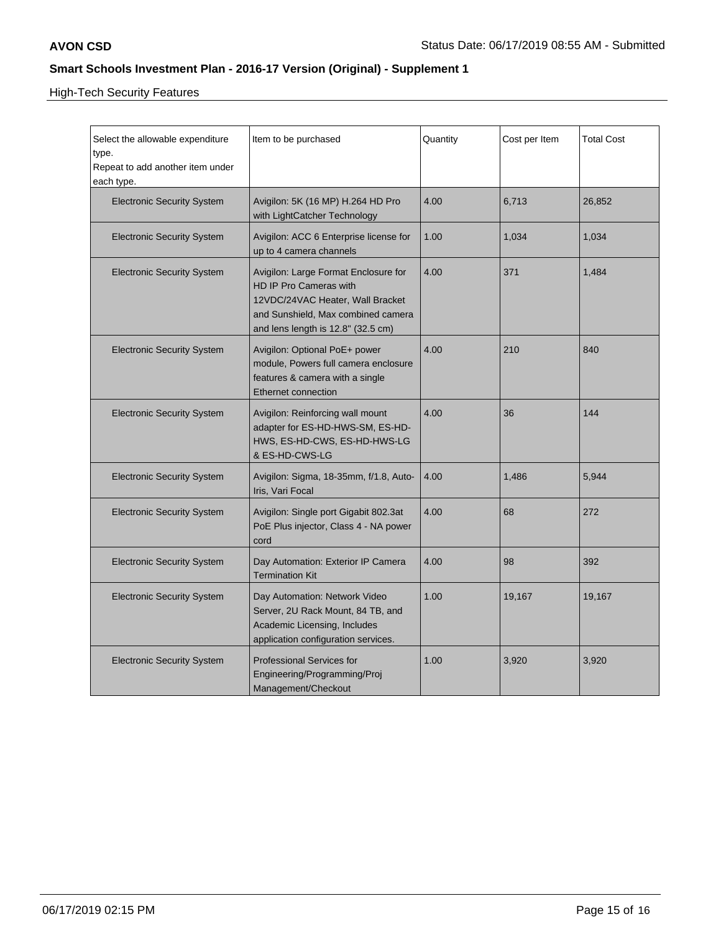High-Tech Security Features

| Select the allowable expenditure<br>type.<br>Repeat to add another item under<br>each type. | Item to be purchased                                                                                                                                                           | Quantity | Cost per Item | <b>Total Cost</b> |
|---------------------------------------------------------------------------------------------|--------------------------------------------------------------------------------------------------------------------------------------------------------------------------------|----------|---------------|-------------------|
| <b>Electronic Security System</b>                                                           | Avigilon: 5K (16 MP) H.264 HD Pro<br>with LightCatcher Technology                                                                                                              | 4.00     | 6,713         | 26,852            |
| <b>Electronic Security System</b>                                                           | Avigilon: ACC 6 Enterprise license for<br>up to 4 camera channels                                                                                                              | 1.00     | 1,034         | 1,034             |
| <b>Electronic Security System</b>                                                           | Avigilon: Large Format Enclosure for<br>HD IP Pro Cameras with<br>12VDC/24VAC Heater, Wall Bracket<br>and Sunshield, Max combined camera<br>and lens length is 12.8" (32.5 cm) | 4.00     | 371           | 1,484             |
| <b>Electronic Security System</b>                                                           | Avigilon: Optional PoE+ power<br>module, Powers full camera enclosure<br>features & camera with a single<br><b>Ethernet connection</b>                                         | 4.00     | 210           | 840               |
| <b>Electronic Security System</b>                                                           | Avigilon: Reinforcing wall mount<br>adapter for ES-HD-HWS-SM, ES-HD-<br>HWS, ES-HD-CWS, ES-HD-HWS-LG<br>& ES-HD-CWS-LG                                                         | 4.00     | 36            | 144               |
| <b>Electronic Security System</b>                                                           | Avigilon: Sigma, 18-35mm, f/1.8, Auto-<br>Iris, Vari Focal                                                                                                                     | 4.00     | 1,486         | 5,944             |
| <b>Electronic Security System</b>                                                           | Avigilon: Single port Gigabit 802.3at<br>PoE Plus injector, Class 4 - NA power<br>cord                                                                                         | 4.00     | 68            | 272               |
| <b>Electronic Security System</b>                                                           | Day Automation: Exterior IP Camera<br><b>Termination Kit</b>                                                                                                                   | 4.00     | 98            | 392               |
| <b>Electronic Security System</b>                                                           | Day Automation: Network Video<br>Server, 2U Rack Mount, 84 TB, and<br>Academic Licensing, Includes<br>application configuration services.                                      | 1.00     | 19,167        | 19,167            |
| <b>Electronic Security System</b>                                                           | <b>Professional Services for</b><br>Engineering/Programming/Proj<br>Management/Checkout                                                                                        | 1.00     | 3,920         | 3,920             |